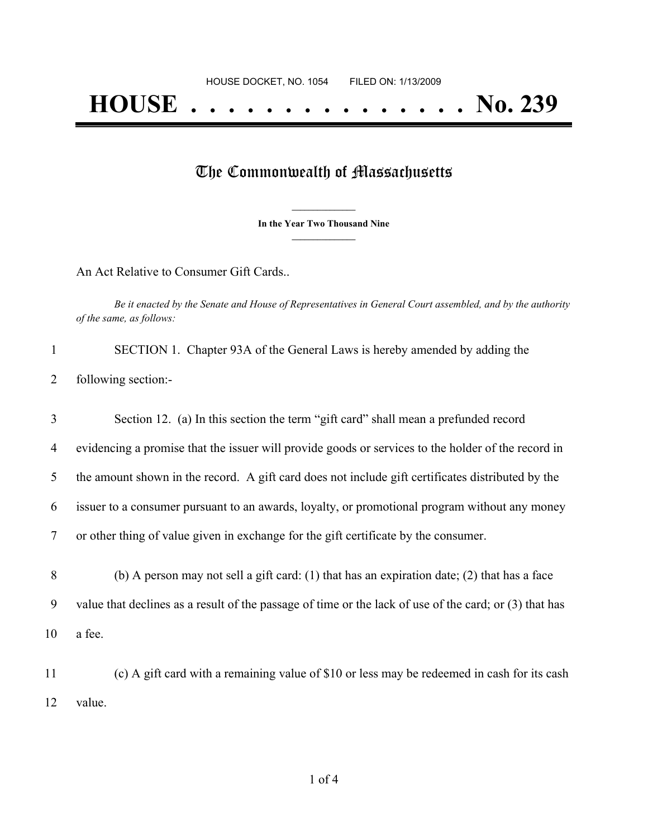## The Commonwealth of Massachusetts

**\_\_\_\_\_\_\_\_\_\_\_\_\_\_\_ In the Year Two Thousand Nine \_\_\_\_\_\_\_\_\_\_\_\_\_\_\_**

An Act Relative to Consumer Gift Cards..

Be it enacted by the Senate and House of Representatives in General Court assembled, and by the authority *of the same, as follows:*

|                       | SECTION 1. Chapter 93A of the General Laws is hereby amended by adding the |
|-----------------------|----------------------------------------------------------------------------|
| 2 following section:- |                                                                            |

| 3              | Section 12. (a) In this section the term "gift card" shall mean a prefunded record                 |
|----------------|----------------------------------------------------------------------------------------------------|
| $\overline{4}$ | evidencing a promise that the issuer will provide goods or services to the holder of the record in |
| 5 <sup>1</sup> | the amount shown in the record. A gift card does not include gift certificates distributed by the  |
| 6              | issuer to a consumer pursuant to an awards, loyalty, or promotional program without any money      |
| 7              | or other thing of value given in exchange for the gift certificate by the consumer.                |
| 8              | (b) A person may not sell a gift card: $(1)$ that has an expiration date; $(2)$ that has a face    |

9 value that declines as a result of the passage of time or the lack of use of the card; or (3) that has

10 a fee.

11 (c) A gift card with a remaining value of \$10 or less may be redeemed in cash for its cash 12 value.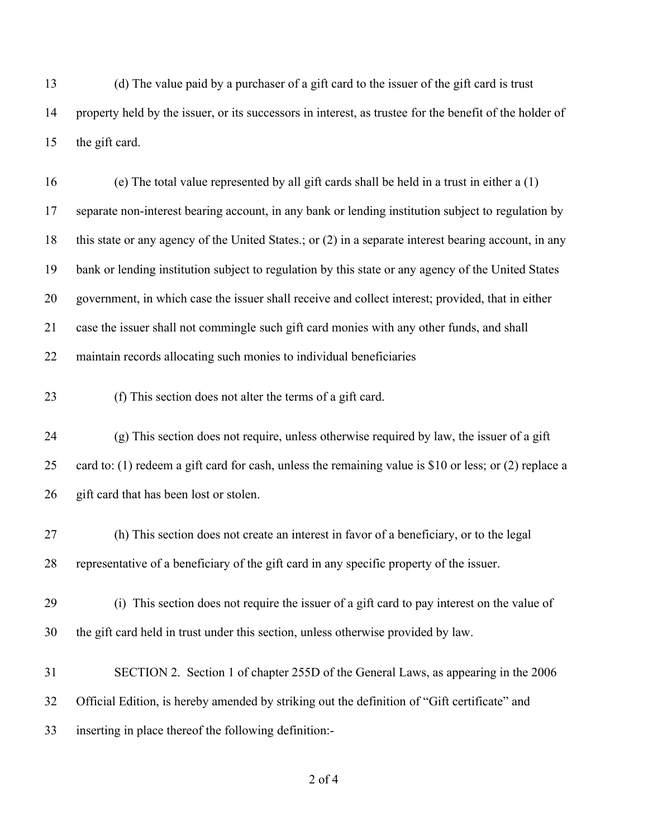(d) The value paid by a purchaser of a gift card to the issuer of the gift card is trust property held by the issuer, or its successors in interest, as trustee for the benefit of the holder of the gift card.

 (e) The total value represented by all gift cards shall be held in a trust in either a (1) separate non-interest bearing account, in any bank or lending institution subject to regulation by this state or any agency of the United States.; or (2) in a separate interest bearing account, in any bank or lending institution subject to regulation by this state or any agency of the United States government, in which case the issuer shall receive and collect interest; provided, that in either case the issuer shall not commingle such gift card monies with any other funds, and shall maintain records allocating such monies to individual beneficiaries

(f) This section does not alter the terms of a gift card.

 (g) This section does not require, unless otherwise required by law, the issuer of a gift card to: (1) redeem a gift card for cash, unless the remaining value is \$10 or less; or (2) replace a 26 gift card that has been lost or stolen.

 (h) This section does not create an interest in favor of a beneficiary, or to the legal representative of a beneficiary of the gift card in any specific property of the issuer.

 (i) This section does not require the issuer of a gift card to pay interest on the value of the gift card held in trust under this section, unless otherwise provided by law.

 SECTION 2. Section 1 of chapter 255D of the General Laws, as appearing in the 2006 Official Edition, is hereby amended by striking out the definition of "Gift certificate" and inserting in place thereof the following definition:-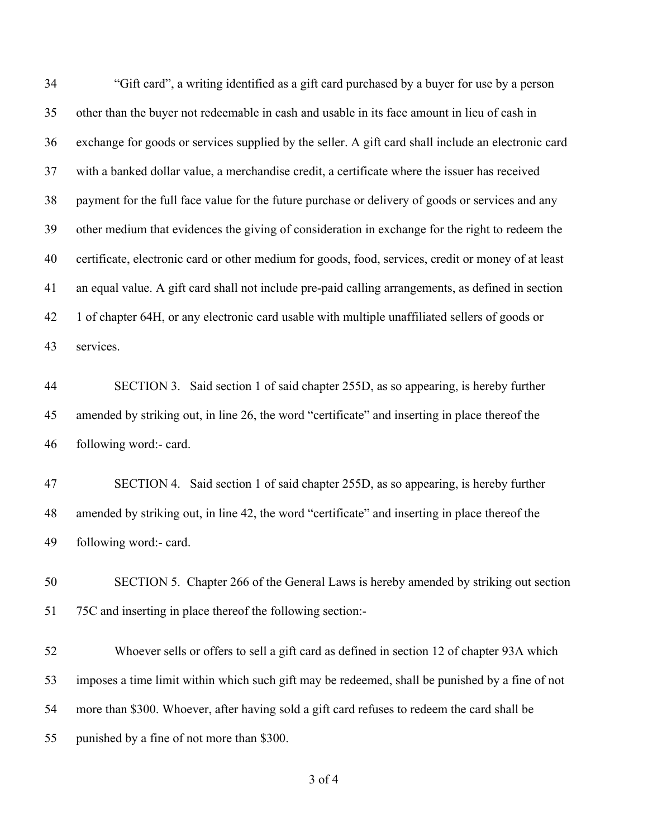"Gift card", a writing identified as a gift card purchased by a buyer for use by a person other than the buyer not redeemable in cash and usable in its face amount in lieu of cash in exchange for goods or services supplied by the seller. A gift card shall include an electronic card with a banked dollar value, a merchandise credit, a certificate where the issuer has received payment for the full face value for the future purchase or delivery of goods or services and any other medium that evidences the giving of consideration in exchange for the right to redeem the certificate, electronic card or other medium for goods, food, services, credit or money of at least an equal value. A gift card shall not include pre-paid calling arrangements, as defined in section 1 of chapter 64H, or any electronic card usable with multiple unaffiliated sellers of goods or services.

 SECTION 3. Said section 1 of said chapter 255D, as so appearing, is hereby further amended by striking out, in line 26, the word "certificate" and inserting in place thereof the following word:- card.

 SECTION 4. Said section 1 of said chapter 255D, as so appearing, is hereby further amended by striking out, in line 42, the word "certificate" and inserting in place thereof the following word:- card.

 SECTION 5. Chapter 266 of the General Laws is hereby amended by striking out section 75C and inserting in place thereof the following section:-

 Whoever sells or offers to sell a gift card as defined in section 12 of chapter 93A which imposes a time limit within which such gift may be redeemed, shall be punished by a fine of not more than \$300. Whoever, after having sold a gift card refuses to redeem the card shall be punished by a fine of not more than \$300.